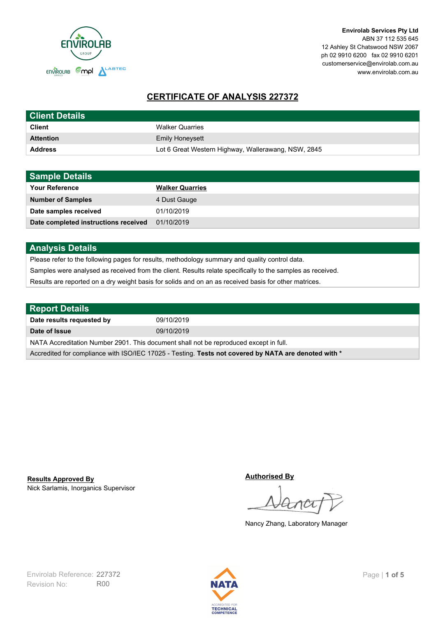

# **CERTIFICATE OF ANALYSIS 227372**

| <b>Client Details</b> |                                                     |
|-----------------------|-----------------------------------------------------|
| <b>Client</b>         | <b>Walker Quarries</b>                              |
| <b>Attention</b>      | <b>Emily Honeysett</b>                              |
| <b>Address</b>        | Lot 6 Great Western Highway, Wallerawang, NSW, 2845 |

| <b>Sample Details</b>                |                        |
|--------------------------------------|------------------------|
| <b>Your Reference</b>                | <b>Walker Quarries</b> |
| <b>Number of Samples</b>             | 4 Dust Gauge           |
| Date samples received                | 01/10/2019             |
| Date completed instructions received | 01/10/2019             |

## **Analysis Details**

Please refer to the following pages for results, methodology summary and quality control data.

Samples were analysed as received from the client. Results relate specifically to the samples as received.

Results are reported on a dry weight basis for solids and on an as received basis for other matrices.

| <b>Report Details</b>                                                                                |            |  |
|------------------------------------------------------------------------------------------------------|------------|--|
| Date results requested by                                                                            | 09/10/2019 |  |
| Date of Issue                                                                                        | 09/10/2019 |  |
| NATA Accreditation Number 2901. This document shall not be reproduced except in full.                |            |  |
| Accredited for compliance with ISO/IEC 17025 - Testing. Tests not covered by NATA are denoted with * |            |  |

Nick Sarlamis, Inorganics Supervisor **Results Approved By**

**Authorised By**

Nancy Zhang, Laboratory Manager

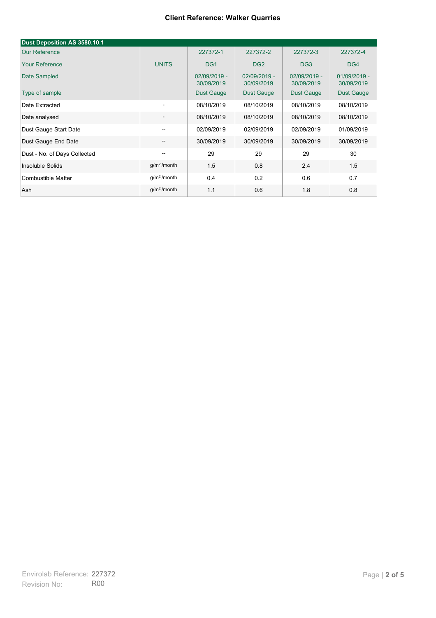#### **Client Reference: Walker Quarries**

| Dust Deposition AS 3580.10.1 |                          |                            |                            |                            |                            |
|------------------------------|--------------------------|----------------------------|----------------------------|----------------------------|----------------------------|
| <b>Our Reference</b>         |                          | 227372-1                   | 227372-2                   | 227372-3                   | 227372-4                   |
| <b>Your Reference</b>        | <b>UNITS</b>             | DG <sub>1</sub>            | DG <sub>2</sub>            | DG <sub>3</sub>            | DG4                        |
| Date Sampled                 |                          | 02/09/2019 -<br>30/09/2019 | 02/09/2019 -<br>30/09/2019 | 02/09/2019 -<br>30/09/2019 | 01/09/2019 -<br>30/09/2019 |
| Type of sample               |                          | <b>Dust Gauge</b>          | <b>Dust Gauge</b>          | <b>Dust Gauge</b>          | Dust Gauge                 |
| Date Extracted               | $\overline{\phantom{a}}$ | 08/10/2019                 | 08/10/2019                 | 08/10/2019                 | 08/10/2019                 |
| Date analysed                | -                        | 08/10/2019                 | 08/10/2019                 | 08/10/2019                 | 08/10/2019                 |
| Dust Gauge Start Date        | --                       | 02/09/2019                 | 02/09/2019                 | 02/09/2019                 | 01/09/2019                 |
| Dust Gauge End Date          | $\overline{\phantom{a}}$ | 30/09/2019                 | 30/09/2019                 | 30/09/2019                 | 30/09/2019                 |
| Dust - No. of Days Collected | $\overline{\phantom{m}}$ | 29                         | 29                         | 29                         | 30                         |
| Insoluble Solids             | g/m <sup>2</sup> /month  | 1.5                        | 0.8                        | 2.4                        | 1.5                        |
| Combustible Matter           | g/m <sup>2</sup> /month  | 0.4                        | 0.2                        | 0.6                        | 0.7                        |
| Ash                          | g/m <sup>2</sup> /month  | 1.1                        | 0.6                        | 1.8                        | 0.8                        |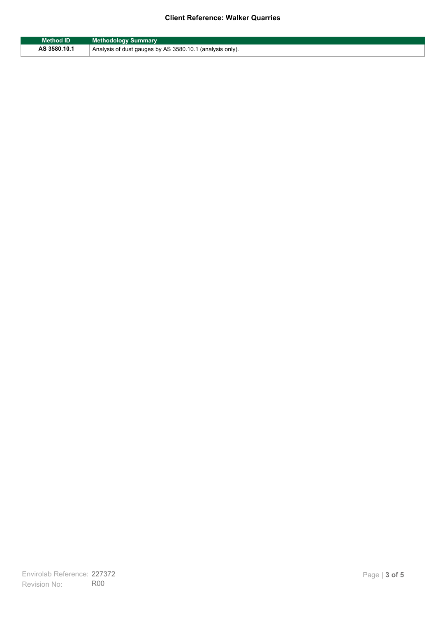## **Client Reference: Walker Quarries**

| Method ID    | <b>Methodology Summary</b>                               |
|--------------|----------------------------------------------------------|
| AS 3580.10.1 | Analysis of dust gauges by AS 3580.10.1 (analysis only). |

F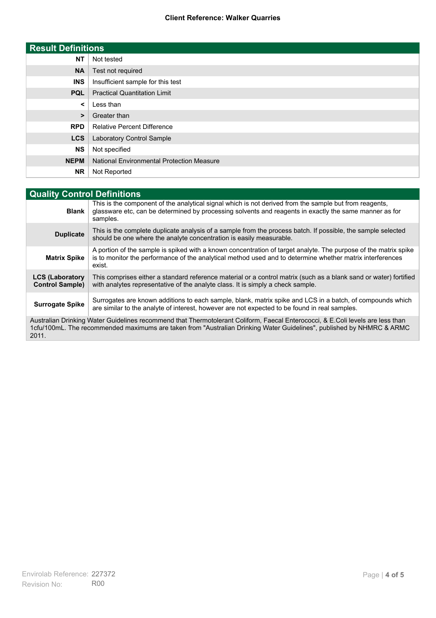### **Client Reference: Walker Quarries**

| <b>Result Definitions</b> |                                                  |
|---------------------------|--------------------------------------------------|
| <b>NT</b>                 | Not tested                                       |
| <b>NA</b>                 | Test not required                                |
| <b>INS</b>                | Insufficient sample for this test                |
| <b>PQL</b>                | <b>Practical Quantitation Limit</b>              |
| $\prec$                   | Less than                                        |
| $\geq$                    | Greater than                                     |
| <b>RPD</b>                | <b>Relative Percent Difference</b>               |
| <b>LCS</b>                | Laboratory Control Sample                        |
| <b>NS</b>                 | Not specified                                    |
| <b>NEPM</b>               | <b>National Environmental Protection Measure</b> |
| <b>NR</b>                 | Not Reported                                     |

| <b>Quality Control Definitions</b>                                                                                                                                                                                                                      |                                                                                                                                                                                                                                        |
|---------------------------------------------------------------------------------------------------------------------------------------------------------------------------------------------------------------------------------------------------------|----------------------------------------------------------------------------------------------------------------------------------------------------------------------------------------------------------------------------------------|
| <b>Blank</b>                                                                                                                                                                                                                                            | This is the component of the analytical signal which is not derived from the sample but from reagents,<br>glassware etc, can be determined by processing solvents and reagents in exactly the same manner as for<br>samples.           |
| <b>Duplicate</b>                                                                                                                                                                                                                                        | This is the complete duplicate analysis of a sample from the process batch. If possible, the sample selected<br>should be one where the analyte concentration is easily measurable.                                                    |
| <b>Matrix Spike</b>                                                                                                                                                                                                                                     | A portion of the sample is spiked with a known concentration of target analyte. The purpose of the matrix spike<br>is to monitor the performance of the analytical method used and to determine whether matrix interferences<br>exist. |
| <b>LCS (Laboratory</b><br><b>Control Sample)</b>                                                                                                                                                                                                        | This comprises either a standard reference material or a control matrix (such as a blank sand or water) fortified<br>with analytes representative of the analyte class. It is simply a check sample.                                   |
| <b>Surrogate Spike</b>                                                                                                                                                                                                                                  | Surrogates are known additions to each sample, blank, matrix spike and LCS in a batch, of compounds which<br>are similar to the analyte of interest, however are not expected to be found in real samples.                             |
| Australian Drinking Water Guidelines recommend that Thermotolerant Coliform, Faecal Enterococci, & E.Coli levels are less than<br>1cfu/100mL. The recommended maximums are taken from "Australian Drinking Water Guidelines", published by NHMRC & ARMC |                                                                                                                                                                                                                                        |

2011.